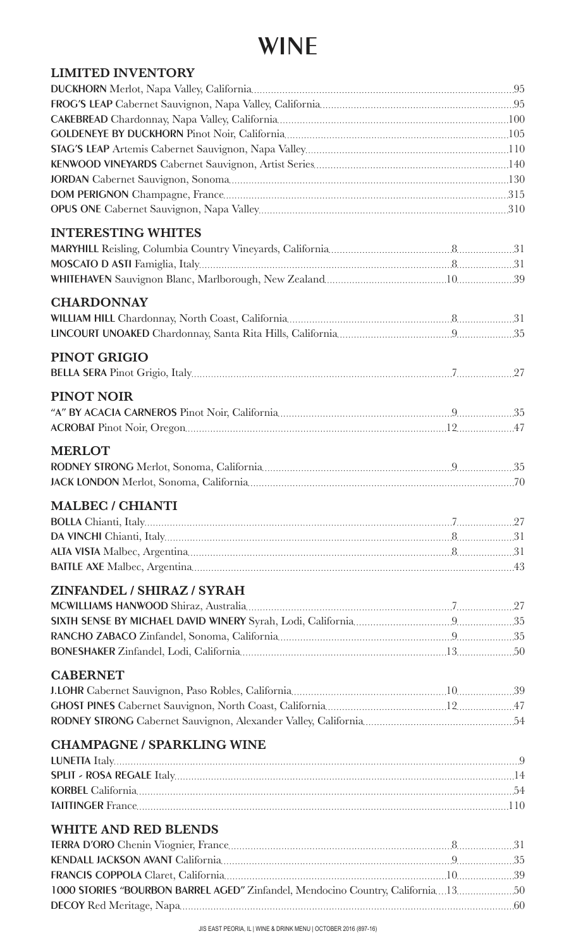#### WINE

| <b>LIMITED INVENTORY</b>                                                         |  |
|----------------------------------------------------------------------------------|--|
|                                                                                  |  |
|                                                                                  |  |
|                                                                                  |  |
|                                                                                  |  |
|                                                                                  |  |
|                                                                                  |  |
|                                                                                  |  |
|                                                                                  |  |
|                                                                                  |  |
| <b>INTERESTING WHITES</b>                                                        |  |
|                                                                                  |  |
|                                                                                  |  |
|                                                                                  |  |
|                                                                                  |  |
| <b>CHARDONNAY</b>                                                                |  |
|                                                                                  |  |
|                                                                                  |  |
| <b>PINOT GRIGIO</b>                                                              |  |
|                                                                                  |  |
|                                                                                  |  |
| <b>PINOT NOIR</b>                                                                |  |
|                                                                                  |  |
|                                                                                  |  |
| <b>MERLOT</b>                                                                    |  |
|                                                                                  |  |
|                                                                                  |  |
|                                                                                  |  |
| <b>MALBEC / CHIANTI</b>                                                          |  |
|                                                                                  |  |
|                                                                                  |  |
|                                                                                  |  |
|                                                                                  |  |
| ZINFANDEL / SHIRAZ / SYRAH                                                       |  |
|                                                                                  |  |
|                                                                                  |  |
|                                                                                  |  |
|                                                                                  |  |
|                                                                                  |  |
| <b>CABERNET</b>                                                                  |  |
|                                                                                  |  |
|                                                                                  |  |
|                                                                                  |  |
| <b>CHAMPAGNE / SPARKLING WINE</b>                                                |  |
|                                                                                  |  |
|                                                                                  |  |
|                                                                                  |  |
|                                                                                  |  |
|                                                                                  |  |
| <b>WHITE AND RED BLENDS</b>                                                      |  |
|                                                                                  |  |
|                                                                                  |  |
|                                                                                  |  |
| 1000 STORIES "BOURBON BARREL AGED" Zinfandel, Mendocino Country, California13 50 |  |
|                                                                                  |  |